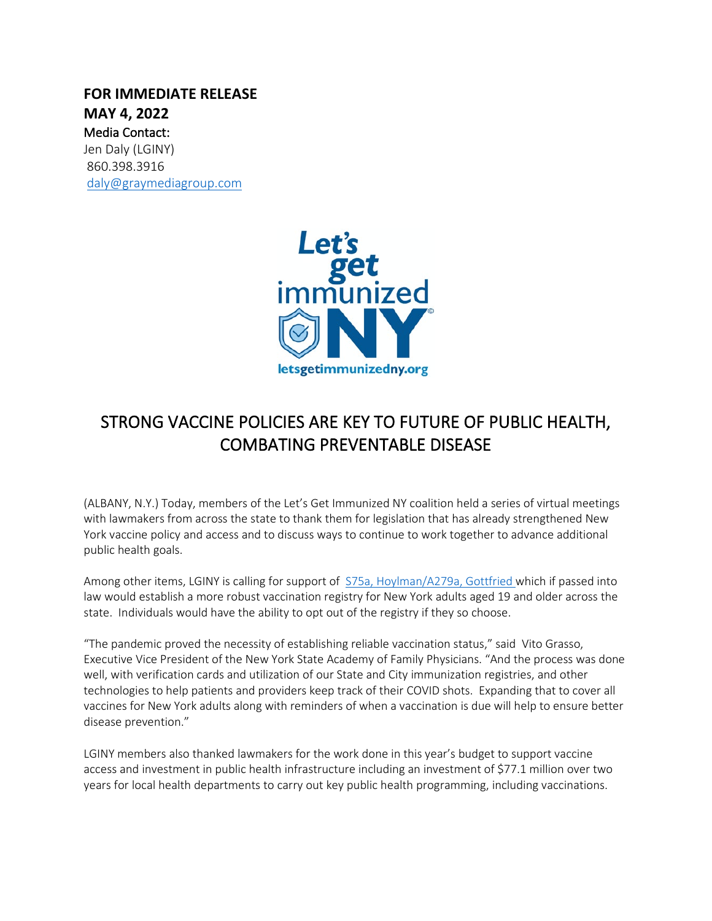## **FOR IMMEDIATE RELEASE MAY 4, 2022** Media Contact: Jen Daly (LGINY) 860.398.3916 [daly@graymediagroup.com](mailto:daly@graymediagroup.com)



## STRONG VACCINE POLICIES ARE KEY TO FUTURE OF PUBLIC HEALTH, COMBATING PREVENTABLE DISEASE

(ALBANY, N.Y.) Today, members of the Let's Get Immunized NY coalition held a series of virtual meetings with lawmakers from across the state to thank them for legislation that has already strengthened New York vaccine policy and access and to discuss ways to continue to work together to advance additional public health goals.

Among other items, LGINY is calling for support of [S75a, Hoylman/A279a, Gottfried](https://nyassembly.gov/leg/?default_fld=%0D%0A&leg_video=&bn=S00075&term=2021&Summary=Y&Text=Y) which if passed into law would establish a more robust vaccination registry for New York adults aged 19 and older across the state. Individuals would have the ability to opt out of the registry if they so choose.

"The pandemic proved the necessity of establishing reliable vaccination status," said Vito Grasso, Executive Vice President of the New York State Academy of Family Physicians. "And the process was done well, with verification cards and utilization of our State and City immunization registries, and other technologies to help patients and providers keep track of their COVID shots. Expanding that to cover all vaccines for New York adults along with reminders of when a vaccination is due will help to ensure better disease prevention."

LGINY members also thanked lawmakers for the work done in this year's budget to support vaccine access and investment in public health infrastructure including an investment of \$77.1 million over two years for local health departments to carry out key public health programming, including vaccinations.